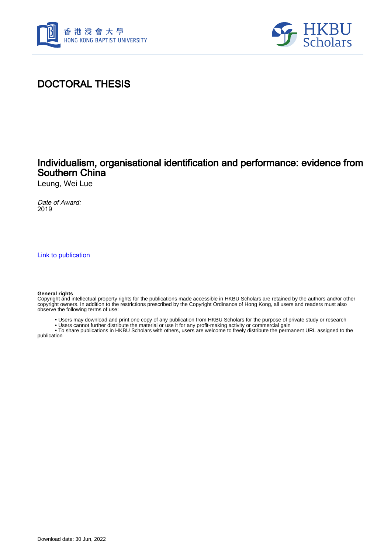



# DOCTORAL THESIS

## Individualism, organisational identification and performance: evidence from Southern China

Leung, Wei Lue

Date of Award: 2019

[Link to publication](https://scholars.hkbu.edu.hk/en/studentTheses/54c68b7b-d8c4-419f-b513-e3d5ab447b42)

#### **General rights**

Copyright and intellectual property rights for the publications made accessible in HKBU Scholars are retained by the authors and/or other copyright owners. In addition to the restrictions prescribed by the Copyright Ordinance of Hong Kong, all users and readers must also observe the following terms of use:

• Users may download and print one copy of any publication from HKBU Scholars for the purpose of private study or research

• Users cannot further distribute the material or use it for any profit-making activity or commercial gain

 • To share publications in HKBU Scholars with others, users are welcome to freely distribute the permanent URL assigned to the publication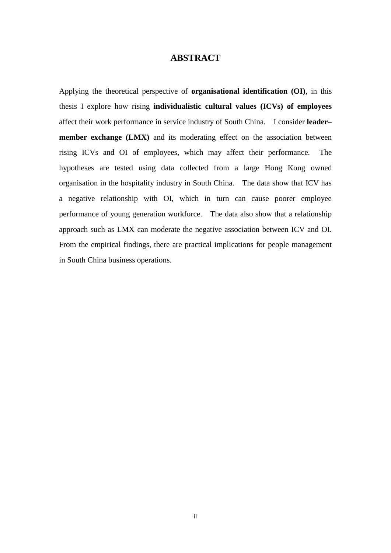### **ABSTRACT**

<span id="page-1-0"></span>Applying the theoretical perspective of **organisational identification (OI)**, in this thesis I explore how rising **individualistic cultural values (ICVs) of employees**  affect their work performance in service industry of South China. I consider **leader– member exchange (LMX)** and its moderating effect on the association between rising ICVs and OI of employees, which may affect their performance. The hypotheses are tested using data collected from a large Hong Kong owned organisation in the hospitality industry in South China. The data show that ICV has a negative relationship with OI, which in turn can cause poorer employee performance of young generation workforce. The data also show that a relationship approach such as LMX can moderate the negative association between ICV and OI. From the empirical findings, there are practical implications for people management in South China business operations.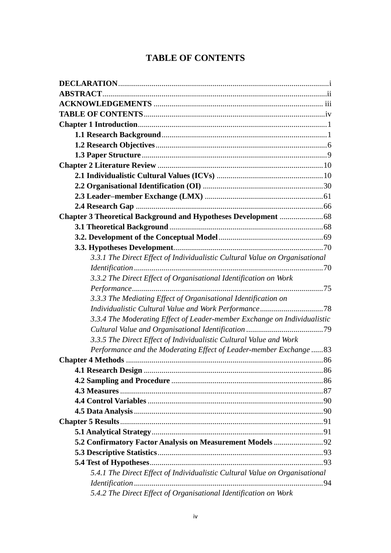# **TABLE OF CONTENTS**

<span id="page-2-0"></span>

| 3.3.1 The Direct Effect of Individualistic Cultural Value on Organisational |  |
|-----------------------------------------------------------------------------|--|
|                                                                             |  |
| 3.3.2 The Direct Effect of Organisational Identification on Work            |  |
|                                                                             |  |
| 3.3.3 The Mediating Effect of Organisational Identification on              |  |
|                                                                             |  |
| 3.3.4 The Moderating Effect of Leader-member Exchange on Individualistic    |  |
|                                                                             |  |
| 3.3.5 The Direct Effect of Individualistic Cultural Value and Work          |  |
| Performance and the Moderating Effect of Leader-member Exchange  83         |  |
|                                                                             |  |
|                                                                             |  |
|                                                                             |  |
|                                                                             |  |
|                                                                             |  |
|                                                                             |  |
|                                                                             |  |
|                                                                             |  |
|                                                                             |  |
|                                                                             |  |
|                                                                             |  |
| 5.4.1 The Direct Effect of Individualistic Cultural Value on Organisational |  |
|                                                                             |  |
| 5.4.2 The Direct Effect of Organisational Identification on Work            |  |